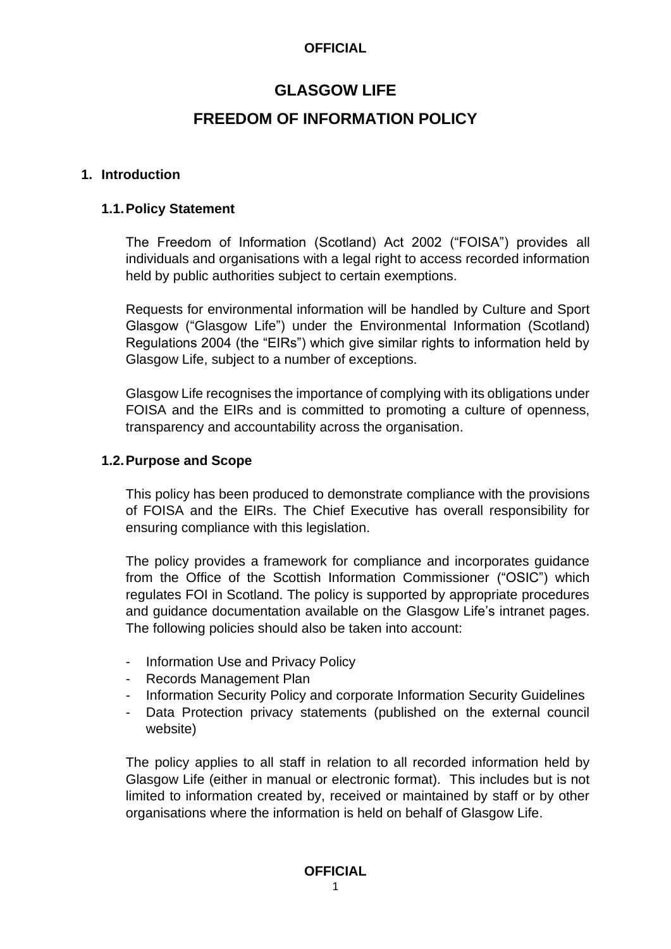# **GLASGOW LIFE FREEDOM OF INFORMATION POLICY**

#### **1. Introduction**

#### **1.1.Policy Statement**

The Freedom of Information (Scotland) Act 2002 ("FOISA") provides all individuals and organisations with a legal right to access recorded information held by public authorities subject to certain exemptions.

Requests for environmental information will be handled by Culture and Sport Glasgow ("Glasgow Life") under the Environmental Information (Scotland) Regulations 2004 (the "EIRs") which give similar rights to information held by Glasgow Life, subject to a number of exceptions.

Glasgow Life recognises the importance of complying with its obligations under FOISA and the EIRs and is committed to promoting a culture of openness, transparency and accountability across the organisation.

#### **1.2.Purpose and Scope**

This policy has been produced to demonstrate compliance with the provisions of FOISA and the EIRs. The Chief Executive has overall responsibility for ensuring compliance with this legislation.

The policy provides a framework for compliance and incorporates guidance from the Office of the Scottish Information Commissioner ("OSIC") which regulates FOI in Scotland. The policy is supported by appropriate procedures and guidance documentation available on the Glasgow Life's intranet pages. The following policies should also be taken into account:

- Information Use and Privacy Policy
- Records Management Plan
- Information Security Policy and corporate Information Security Guidelines
- Data Protection privacy statements (published on the external council website)

The policy applies to all staff in relation to all recorded information held by Glasgow Life (either in manual or electronic format). This includes but is not limited to information created by, received or maintained by staff or by other organisations where the information is held on behalf of Glasgow Life.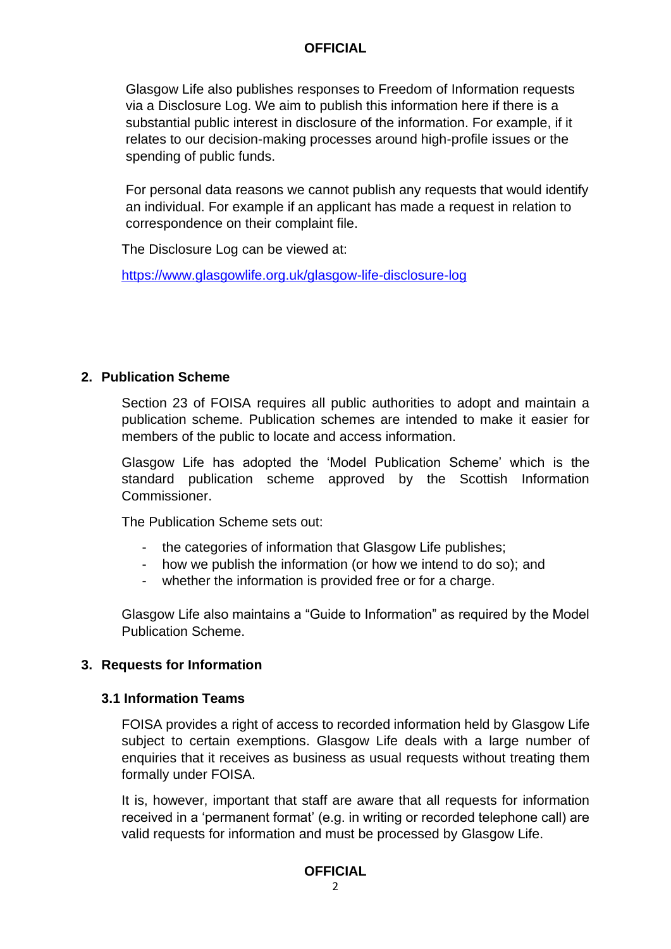Glasgow Life also publishes responses to Freedom of Information requests via a Disclosure Log. We aim to publish this information here if there is a substantial public interest in disclosure of the information. For example, if it relates to our decision-making processes around high-profile issues or the spending of public funds.

For personal data reasons we cannot publish any requests that would identify an individual. For example if an applicant has made a request in relation to correspondence on their complaint file.

The Disclosure Log can be viewed at:

<https://www.glasgowlife.org.uk/glasgow-life-disclosure-log>

#### **2. Publication Scheme**

Section 23 of FOISA requires all public authorities to adopt and maintain a publication scheme. Publication schemes are intended to make it easier for members of the public to locate and access information.

Glasgow Life has adopted the 'Model Publication Scheme' which is the standard publication scheme approved by the Scottish Information Commissioner.

The Publication Scheme sets out:

- the categories of information that Glasgow Life publishes;
- how we publish the information (or how we intend to do so); and
- whether the information is provided free or for a charge.

Glasgow Life also maintains a "Guide to Information" as required by the Model Publication Scheme.

## **3. Requests for Information**

## **3.1 Information Teams**

FOISA provides a right of access to recorded information held by Glasgow Life subject to certain exemptions. Glasgow Life deals with a large number of enquiries that it receives as business as usual requests without treating them formally under FOISA.

It is, however, important that staff are aware that all requests for information received in a 'permanent format' (e.g. in writing or recorded telephone call) are valid requests for information and must be processed by Glasgow Life.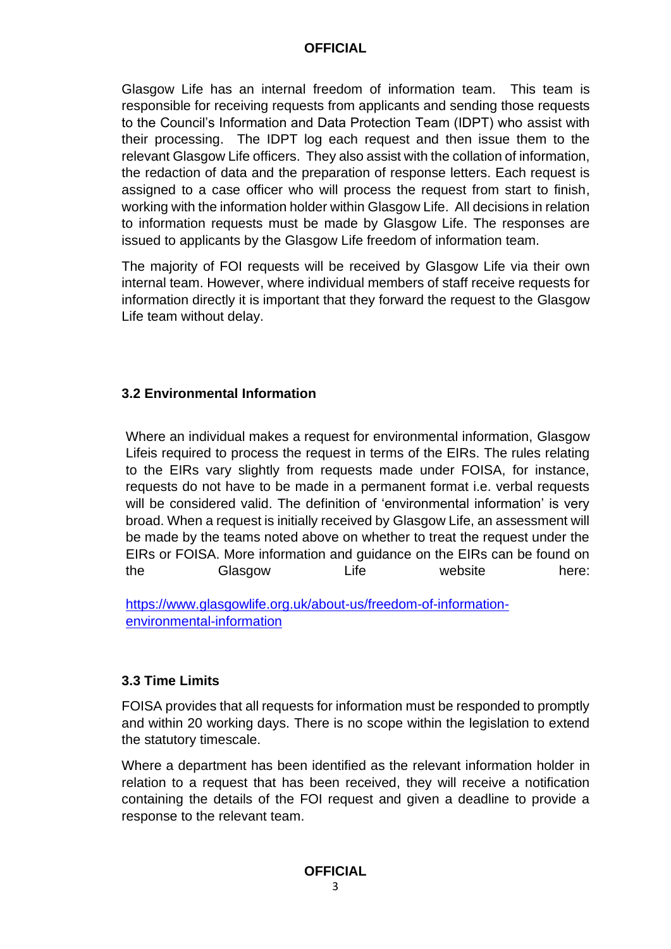Glasgow Life has an internal freedom of information team. This team is responsible for receiving requests from applicants and sending those requests to the Council's Information and Data Protection Team (IDPT) who assist with their processing. The IDPT log each request and then issue them to the relevant Glasgow Life officers. They also assist with the collation of information, the redaction of data and the preparation of response letters. Each request is assigned to a case officer who will process the request from start to finish, working with the information holder within Glasgow Life. All decisions in relation to information requests must be made by Glasgow Life. The responses are issued to applicants by the Glasgow Life freedom of information team.

The majority of FOI requests will be received by Glasgow Life via their own internal team. However, where individual members of staff receive requests for information directly it is important that they forward the request to the Glasgow Life team without delay.

## **3.2 Environmental Information**

Where an individual makes a request for environmental information, Glasgow Lifeis required to process the request in terms of the EIRs. The rules relating to the EIRs vary slightly from requests made under FOISA, for instance, requests do not have to be made in a permanent format i.e. verbal requests will be considered valid. The definition of 'environmental information' is very broad. When a request is initially received by Glasgow Life, an assessment will be made by the teams noted above on whether to treat the request under the EIRs or FOISA. More information and guidance on the EIRs can be found on the Glasgow Life website here:

[https://www.glasgowlife.org.uk/about-us/freedom-of-information](https://www.glasgowlife.org.uk/about-us/freedom-of-information-environmental-information)[environmental-information](https://www.glasgowlife.org.uk/about-us/freedom-of-information-environmental-information)

## **3.3 Time Limits**

FOISA provides that all requests for information must be responded to promptly and within 20 working days. There is no scope within the legislation to extend the statutory timescale.

Where a department has been identified as the relevant information holder in relation to a request that has been received, they will receive a notification containing the details of the FOI request and given a deadline to provide a response to the relevant team.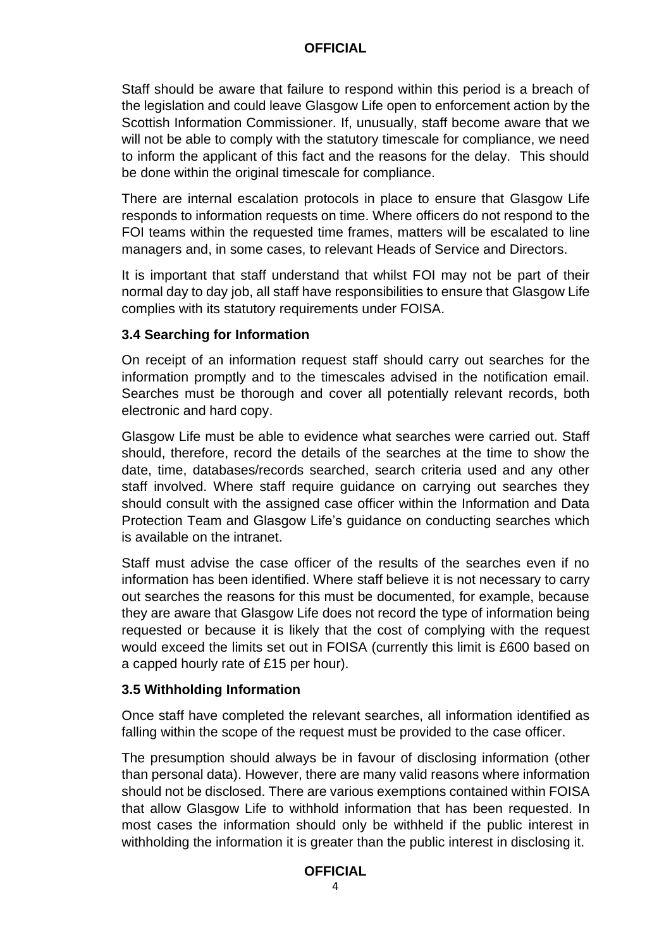Staff should be aware that failure to respond within this period is a breach of the legislation and could leave Glasgow Life open to enforcement action by the Scottish Information Commissioner. If, unusually, staff become aware that we will not be able to comply with the statutory timescale for compliance, we need to inform the applicant of this fact and the reasons for the delay. This should be done within the original timescale for compliance.

There are internal escalation protocols in place to ensure that Glasgow Life responds to information requests on time. Where officers do not respond to the FOI teams within the requested time frames, matters will be escalated to line managers and, in some cases, to relevant Heads of Service and Directors.

It is important that staff understand that whilst FOI may not be part of their normal day to day job, all staff have responsibilities to ensure that Glasgow Life complies with its statutory requirements under FOISA.

#### **3.4 Searching for Information**

On receipt of an information request staff should carry out searches for the information promptly and to the timescales advised in the notification email. Searches must be thorough and cover all potentially relevant records, both electronic and hard copy.

Glasgow Life must be able to evidence what searches were carried out. Staff should, therefore, record the details of the searches at the time to show the date, time, databases/records searched, search criteria used and any other staff involved. Where staff require guidance on carrying out searches they should consult with the assigned case officer within the Information and Data Protection Team and Glasgow Life's guidance on conducting searches which is available on the intranet.

Staff must advise the case officer of the results of the searches even if no information has been identified. Where staff believe it is not necessary to carry out searches the reasons for this must be documented, for example, because they are aware that Glasgow Life does not record the type of information being requested or because it is likely that the cost of complying with the request would exceed the limits set out in FOISA (currently this limit is £600 based on a capped hourly rate of £15 per hour).

#### **3.5 Withholding Information**

Once staff have completed the relevant searches, all information identified as falling within the scope of the request must be provided to the case officer.

The presumption should always be in favour of disclosing information (other than personal data). However, there are many valid reasons where information should not be disclosed. There are various exemptions contained within FOISA that allow Glasgow Life to withhold information that has been requested. In most cases the information should only be withheld if the public interest in withholding the information it is greater than the public interest in disclosing it.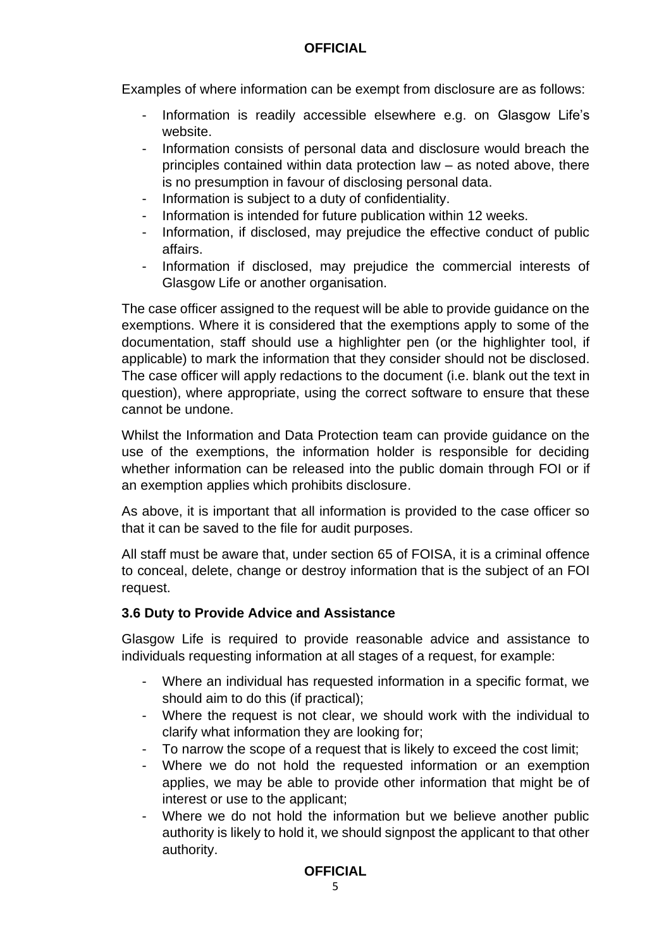Examples of where information can be exempt from disclosure are as follows:

- Information is readily accessible elsewhere e.g. on Glasgow Life's website.
- Information consists of personal data and disclosure would breach the principles contained within data protection law – as noted above, there is no presumption in favour of disclosing personal data.
- Information is subject to a duty of confidentiality.
- Information is intended for future publication within 12 weeks.
- Information, if disclosed, may prejudice the effective conduct of public affairs.
- Information if disclosed, may prejudice the commercial interests of Glasgow Life or another organisation.

The case officer assigned to the request will be able to provide guidance on the exemptions. Where it is considered that the exemptions apply to some of the documentation, staff should use a highlighter pen (or the highlighter tool, if applicable) to mark the information that they consider should not be disclosed. The case officer will apply redactions to the document (i.e. blank out the text in question), where appropriate, using the correct software to ensure that these cannot be undone.

Whilst the Information and Data Protection team can provide guidance on the use of the exemptions, the information holder is responsible for deciding whether information can be released into the public domain through FOI or if an exemption applies which prohibits disclosure.

As above, it is important that all information is provided to the case officer so that it can be saved to the file for audit purposes.

All staff must be aware that, under section 65 of FOISA, it is a criminal offence to conceal, delete, change or destroy information that is the subject of an FOI request.

# **3.6 Duty to Provide Advice and Assistance**

Glasgow Life is required to provide reasonable advice and assistance to individuals requesting information at all stages of a request, for example:

- Where an individual has requested information in a specific format, we should aim to do this (if practical);
- Where the request is not clear, we should work with the individual to clarify what information they are looking for;
- To narrow the scope of a request that is likely to exceed the cost limit;
- Where we do not hold the requested information or an exemption applies, we may be able to provide other information that might be of interest or use to the applicant;
- Where we do not hold the information but we believe another public authority is likely to hold it, we should signpost the applicant to that other authority.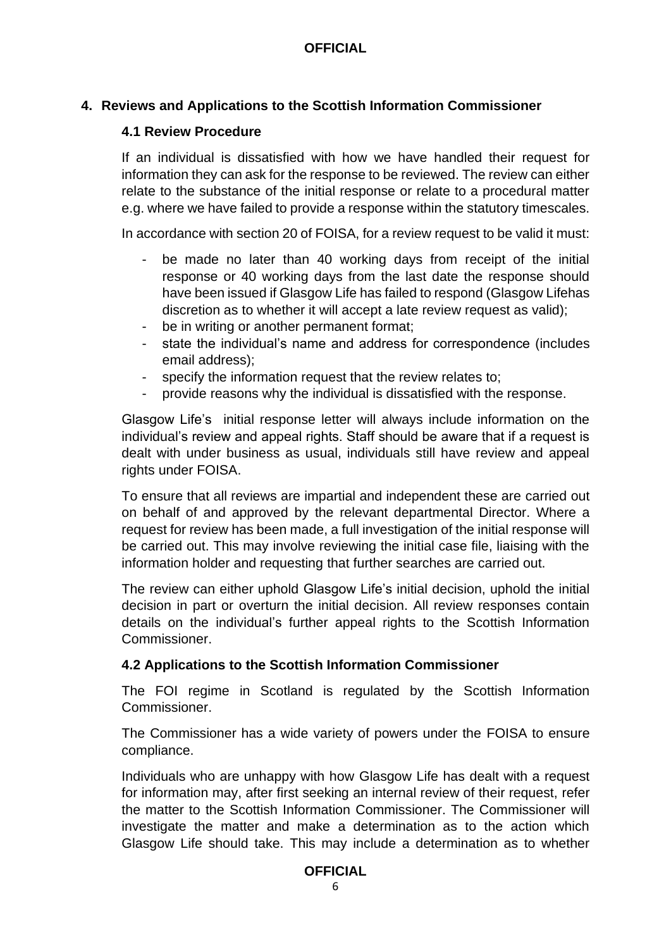# **4. Reviews and Applications to the Scottish Information Commissioner**

## **4.1 Review Procedure**

If an individual is dissatisfied with how we have handled their request for information they can ask for the response to be reviewed. The review can either relate to the substance of the initial response or relate to a procedural matter e.g. where we have failed to provide a response within the statutory timescales.

In accordance with section 20 of FOISA, for a review request to be valid it must:

- be made no later than 40 working days from receipt of the initial response or 40 working days from the last date the response should have been issued if Glasgow Life has failed to respond (Glasgow Lifehas discretion as to whether it will accept a late review request as valid);
- be in writing or another permanent format;
- state the individual's name and address for correspondence (includes email address);
- specify the information request that the review relates to:
- provide reasons why the individual is dissatisfied with the response.

Glasgow Life's initial response letter will always include information on the individual's review and appeal rights. Staff should be aware that if a request is dealt with under business as usual, individuals still have review and appeal rights under FOISA.

To ensure that all reviews are impartial and independent these are carried out on behalf of and approved by the relevant departmental Director. Where a request for review has been made, a full investigation of the initial response will be carried out. This may involve reviewing the initial case file, liaising with the information holder and requesting that further searches are carried out.

The review can either uphold Glasgow Life's initial decision, uphold the initial decision in part or overturn the initial decision. All review responses contain details on the individual's further appeal rights to the Scottish Information Commissioner.

## **4.2 Applications to the Scottish Information Commissioner**

The FOI regime in Scotland is regulated by the Scottish Information Commissioner.

The Commissioner has a wide variety of powers under the FOISA to ensure compliance.

Individuals who are unhappy with how Glasgow Life has dealt with a request for information may, after first seeking an internal review of their request, refer the matter to the Scottish Information Commissioner. The Commissioner will investigate the matter and make a determination as to the action which Glasgow Life should take. This may include a determination as to whether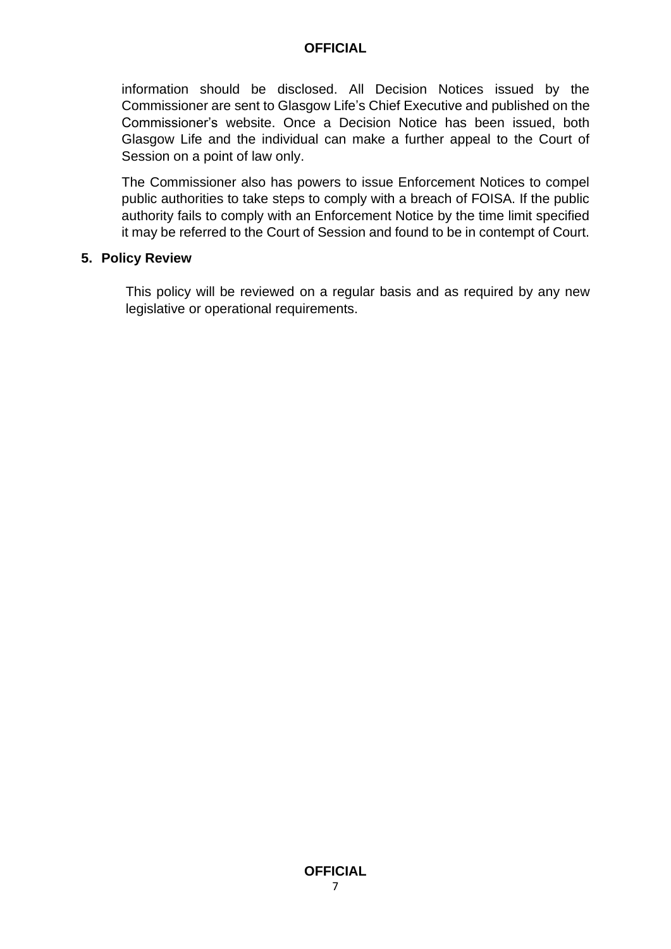information should be disclosed. All Decision Notices issued by the Commissioner are sent to Glasgow Life's Chief Executive and published on the Commissioner's website. Once a Decision Notice has been issued, both Glasgow Life and the individual can make a further appeal to the Court of Session on a point of law only.

The Commissioner also has powers to issue Enforcement Notices to compel public authorities to take steps to comply with a breach of FOISA. If the public authority fails to comply with an Enforcement Notice by the time limit specified it may be referred to the Court of Session and found to be in contempt of Court.

#### **5. Policy Review**

This policy will be reviewed on a regular basis and as required by any new legislative or operational requirements.